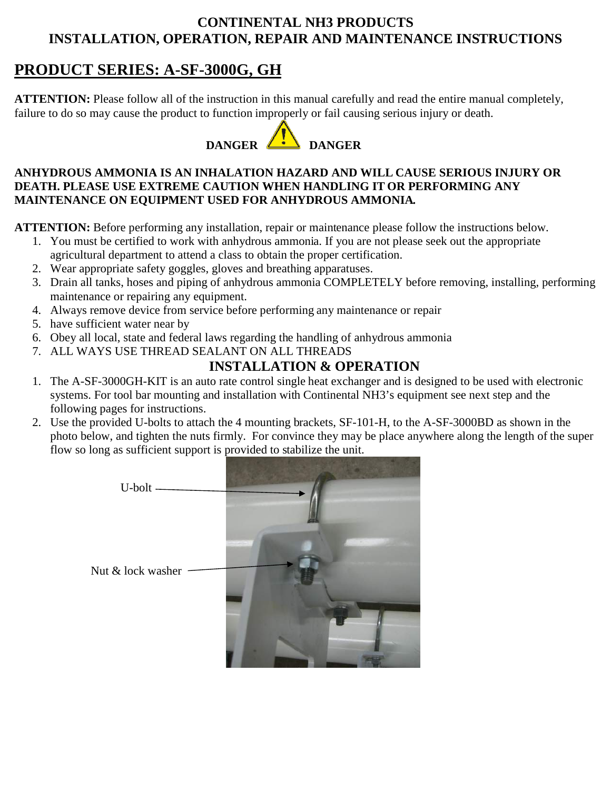## **CONTINENTAL NH3 PRODUCTS INSTALLATION, OPERATION, REPAIR AND MAINTENANCE INSTRUCTIONS**

## **PRODUCT SERIES: A-SF-3000G, GH**

**ATTENTION:** Please follow all of the instruction in this manual carefully and read the entire manual completely, failure to do so may cause the product to function improperly or fail causing serious injury or death.

# **DANGER 4 DANGER**

### **ANHYDROUS AMMONIA IS AN INHALATION HAZARD AND WILL CAUSE SERIOUS INJURY OR DEATH. PLEASE USE EXTREME CAUTION WHEN HANDLING IT OR PERFORMING ANY MAINTENANCE ON EQUIPMENT USED FOR ANHYDROUS AMMONIA.**

**ATTENTION:** Before performing any installation, repair or maintenance please follow the instructions below.

- 1. You must be certified to work with anhydrous ammonia. If you are not please seek out the appropriate agricultural department to attend a class to obtain the proper certification.
- 2. Wear appropriate safety goggles, gloves and breathing apparatuses.
- 3. Drain all tanks, hoses and piping of anhydrous ammonia COMPLETELY before removing, installing, performing maintenance or repairing any equipment.
- 4. Always remove device from service before performing any maintenance or repair
- 5. have sufficient water near by
- 6. Obey all local, state and federal laws regarding the handling of anhydrous ammonia
- 7. ALL WAYS USE THREAD SEALANT ON ALL THREADS

## **INSTALLATION & OPERATION**

- 1. The A-SF-3000GH-KIT is an auto rate control single heat exchanger and is designed to be used with electronic systems. For tool bar mounting and installation with Continental NH3's equipment see next step and the following pages for instructions.
- 2. Use the provided U-bolts to attach the 4 mounting brackets, SF-101-H, to the A-SF-3000BD as shown in the photo below, and tighten the nuts firmly. For convince they may be place anywhere along the length of the super flow so long as sufficient support is provided to stabilize the unit.

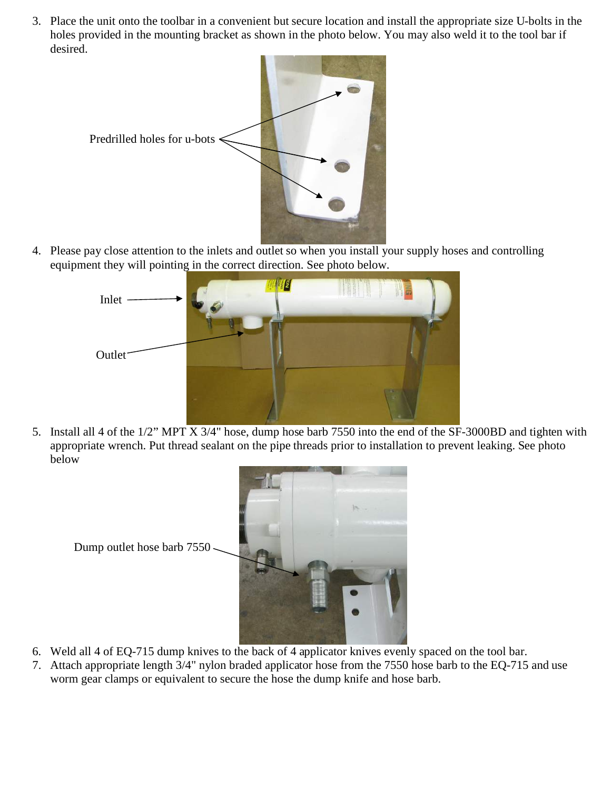3. Place the unit onto the toolbar in a convenient but secure location and install the appropriate size U-bolts in the holes provided in the mounting bracket as shown in the photo below. You may also weld it to the tool bar if desired.



4. Please pay close attention to the inlets and outlet so when you install your supply hoses and controlling equipment they will pointing in the correct direction. See photo below.



5. Install all 4 of the 1/2" MPT X 3/4" hose, dump hose barb 7550 into the end of the SF-3000BD and tighten with appropriate wrench. Put thread sealant on the pipe threads prior to installation to prevent leaking. See photo below



- 6. Weld all 4 of EQ-715 dump knives to the back of 4 applicator knives evenly spaced on the tool bar.
- 7. Attach appropriate length 3/4" nylon braded applicator hose from the 7550 hose barb to the EQ-715 and use worm gear clamps or equivalent to secure the hose the dump knife and hose barb.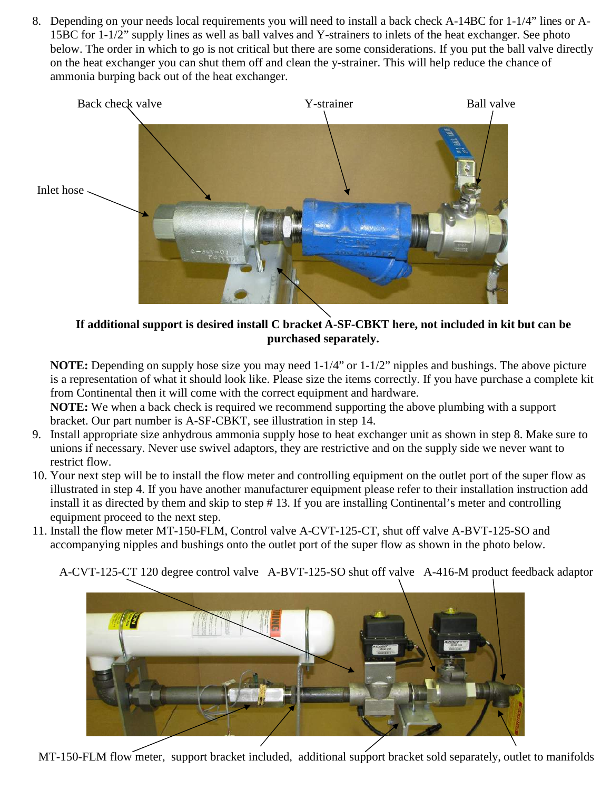8. Depending on your needs local requirements you will need to install a back check A-14BC for 1-1/4" lines or A-15BC for 1-1/2" supply lines as well as ball valves and Y-strainers to inlets of the heat exchanger. See photo below. The order in which to go is not critical but there are some considerations. If you put the ball valve directly on the heat exchanger you can shut them off and clean the y-strainer. This will help reduce the chance of ammonia burping back out of the heat exchanger.



**If additional support is desired install C bracket A-SF-CBKT here, not included in kit but can be purchased separately.** 

**NOTE:** Depending on supply hose size you may need 1-1/4" or 1-1/2" nipples and bushings. The above picture is a representation of what it should look like. Please size the items correctly. If you have purchase a complete kit from Continental then it will come with the correct equipment and hardware.

**NOTE:** We when a back check is required we recommend supporting the above plumbing with a support bracket. Our part number is A-SF-CBKT, see illustration in step 14.

- 9. Install appropriate size anhydrous ammonia supply hose to heat exchanger unit as shown in step 8. Make sure to unions if necessary. Never use swivel adaptors, they are restrictive and on the supply side we never want to restrict flow.
- 10. Your next step will be to install the flow meter and controlling equipment on the outlet port of the super flow as illustrated in step 4. If you have another manufacturer equipment please refer to their installation instruction add install it as directed by them and skip to step # 13. If you are installing Continental's meter and controlling equipment proceed to the next step.
- 11. Install the flow meter MT-150-FLM, Control valve A-CVT-125-CT, shut off valve A-BVT-125-SO and accompanying nipples and bushings onto the outlet port of the super flow as shown in the photo below.

A-CVT-125-CT 120 degree control valve A-BVT-125-SO shut off valve A-416-M product feedback adaptor



MT-150-FLM flow meter, support bracket included, additional support bracket sold separately, outlet to manifolds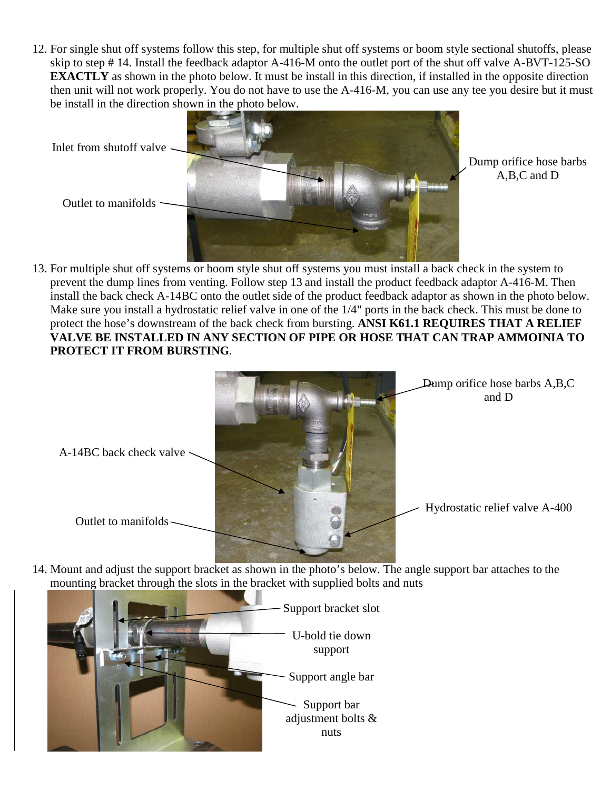12. For single shut off systems follow this step, for multiple shut off systems or boom style sectional shutoffs, please skip to step # 14. Install the feedback adaptor A-416-M onto the outlet port of the shut off valve A-BVT-125-SO **EXACTLY** as shown in the photo below. It must be install in this direction, if installed in the opposite direction then unit will not work properly. You do not have to use the A-416-M, you can use any tee you desire but it must be install in the direction shown in the photo below.



Dump orifice hose barbs A,B,C and D

13. For multiple shut off systems or boom style shut off systems you must install a back check in the system to prevent the dump lines from venting. Follow step 13 and install the product feedback adaptor A-416-M. Then install the back check A-14BC onto the outlet side of the product feedback adaptor as shown in the photo below. Make sure you install a hydrostatic relief valve in one of the 1/4" ports in the back check. This must be done to protect the hose's downstream of the back check from bursting. **ANSI K61.1 REQUIRES THAT A RELIEF VALVE BE INSTALLED IN ANY SECTION OF PIPE OR HOSE THAT CAN TRAP AMMOINIA TO PROTECT IT FROM BURSTING**.



14. Mount and adjust the support bracket as shown in the photo's below. The angle support bar attaches to the mounting bracket through the slots in the bracket with supplied bolts and nuts

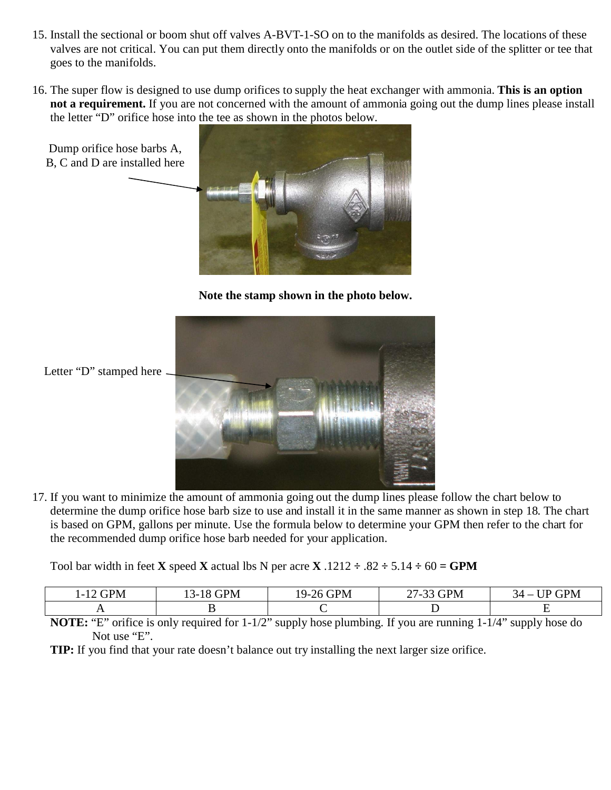- 15. Install the sectional or boom shut off valves A-BVT-1-SO on to the manifolds as desired. The locations of these valves are not critical. You can put them directly onto the manifolds or on the outlet side of the splitter or tee that goes to the manifolds.
- 16. The super flow is designed to use dump orifices to supply the heat exchanger with ammonia. **This is an option not a requirement.** If you are not concerned with the amount of ammonia going out the dump lines please install the letter "D" orifice hose into the tee as shown in the photos below.



**Note the stamp shown in the photo below.** 



Letter "D" stamped here

17. If you want to minimize the amount of ammonia going out the dump lines please follow the chart below to determine the dump orifice hose barb size to use and install it in the same manner as shown in step 18. The chart is based on GPM, gallons per minute. Use the formula below to determine your GPM then refer to the chart for the recommended dump orifice hose barb needed for your application.

Tool bar width in feet **X** speed **X** actual lbs N per acre **X** .1212  $\div$  .82  $\div$  5.14  $\div$  60 = **GPM** 

| <b>GPM</b><br>. | ÷РM<br>ㄱ- '<br>20 D | <b>GPM</b><br>$19-2$<br>'n | $\overline{\phantom{a}}$<br><b>GPM</b><br>$\sim$ 1 | <b>GPM</b><br>1 D<br>◝∸<br>$\overline{\phantom{a}}$ |
|-----------------|---------------------|----------------------------|----------------------------------------------------|-----------------------------------------------------|
|                 |                     |                            | -                                                  |                                                     |

**NOTE:** "E" orifice is only required for 1-1/2" supply hose plumbing. If you are running 1-1/4" supply hose do Not use "E".

**TIP:** If you find that your rate doesn't balance out try installing the next larger size orifice.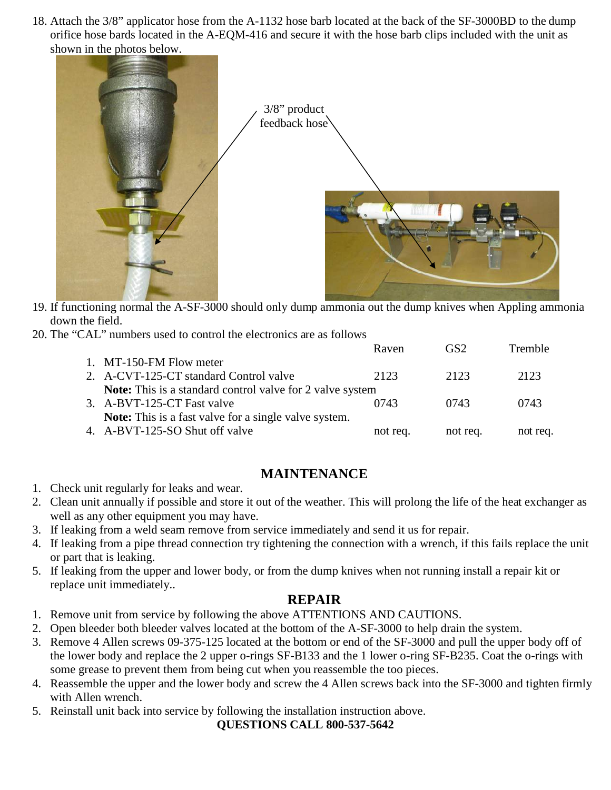18. Attach the 3/8" applicator hose from the A-1132 hose barb located at the back of the SF-3000BD to the dump orifice hose bards located in the A-EQM-416 and secure it with the hose barb clips included with the unit as shown in the photos below.



- 19. If functioning normal the A-SF-3000 should only dump ammonia out the dump knives when Appling ammonia down the field.
- 20. The "CAL" numbers used to control the electronics are as follows

|                                                                  | Raven    | GS <sub>2</sub> | <b>Tremble</b> |
|------------------------------------------------------------------|----------|-----------------|----------------|
| 1. MT-150-FM Flow meter                                          |          |                 |                |
| 2. A-CVT-125-CT standard Control valve                           | 2123     | 2123            | 2123           |
| <b>Note:</b> This is a standard control valve for 2 valve system |          |                 |                |
| 3. A-BVT-125-CT Fast valve                                       | 0743     | 0743            | 0743           |
| <b>Note:</b> This is a fast valve for a single valve system.     |          |                 |                |
| 4. A-BVT-125-SO Shut off valve                                   | not req. | not req.        | not req.       |
|                                                                  |          |                 |                |

## **MAINTENANCE**

- 1. Check unit regularly for leaks and wear.
- 2. Clean unit annually if possible and store it out of the weather. This will prolong the life of the heat exchanger as well as any other equipment you may have.
- 3. If leaking from a weld seam remove from service immediately and send it us for repair.
- 4. If leaking from a pipe thread connection try tightening the connection with a wrench, if this fails replace the unit or part that is leaking.
- 5. If leaking from the upper and lower body, or from the dump knives when not running install a repair kit or replace unit immediately..

### **REPAIR**

- 1. Remove unit from service by following the above ATTENTIONS AND CAUTIONS.
- 2. Open bleeder both bleeder valves located at the bottom of the A-SF-3000 to help drain the system.
- 3. Remove 4 Allen screws 09-375-125 located at the bottom or end of the SF-3000 and pull the upper body off of the lower body and replace the 2 upper o-rings SF-B133 and the 1 lower o-ring SF-B235. Coat the o-rings with some grease to prevent them from being cut when you reassemble the too pieces.
- 4. Reassemble the upper and the lower body and screw the 4 Allen screws back into the SF-3000 and tighten firmly with Allen wrench.
- 5. Reinstall unit back into service by following the installation instruction above.

**QUESTIONS CALL 800-537-5642**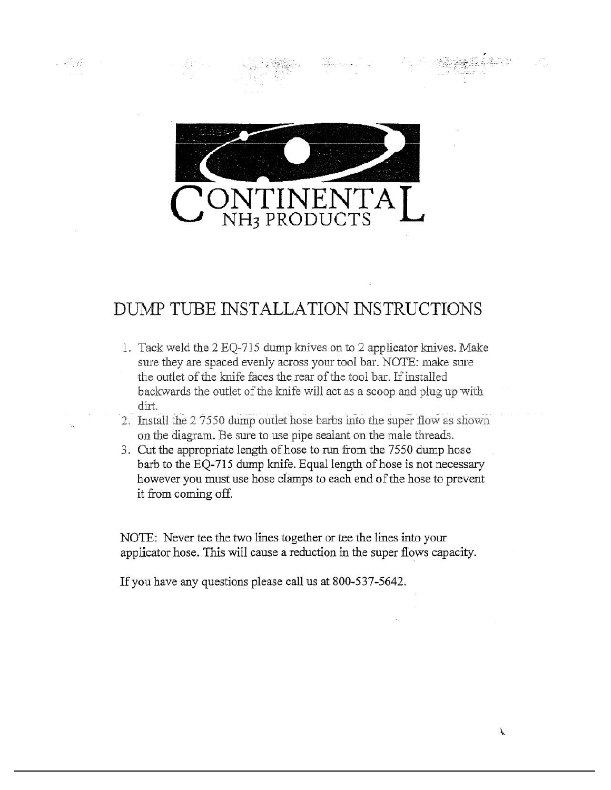

 $-8.545$ 

# DUMP TUBE INSTALLATION INSTRUCTIONS

- 1. Tack weld the 2 EQ-715 dump knives on to 2 applicator knives. Make sure they are spaced evenly across your tool bar. NOTE: make sure the outlet of the knife faces the rear of the tool bar. If installed backwards the outlet of the knife will act as a scoop and plug up with dirt.
- 2. Install the 2 7550 dump outlet hose barbs into the super flow as shown on the diagram. Be sure to use pipe sealant on the male threads.
- 3. Cut the appropriate length of hose to run from the 7550 dump hose barb to the EQ-715 dump knife. Equal length of hose is not necessary however you must use hose clamps to each end of the hose to prevent it from coming off.

NOTE: Never tee the two lines together or tee the lines into your applicator hose. This will cause a reduction in the super flows capacity.

If you have any questions please call us at 800-537-5642.